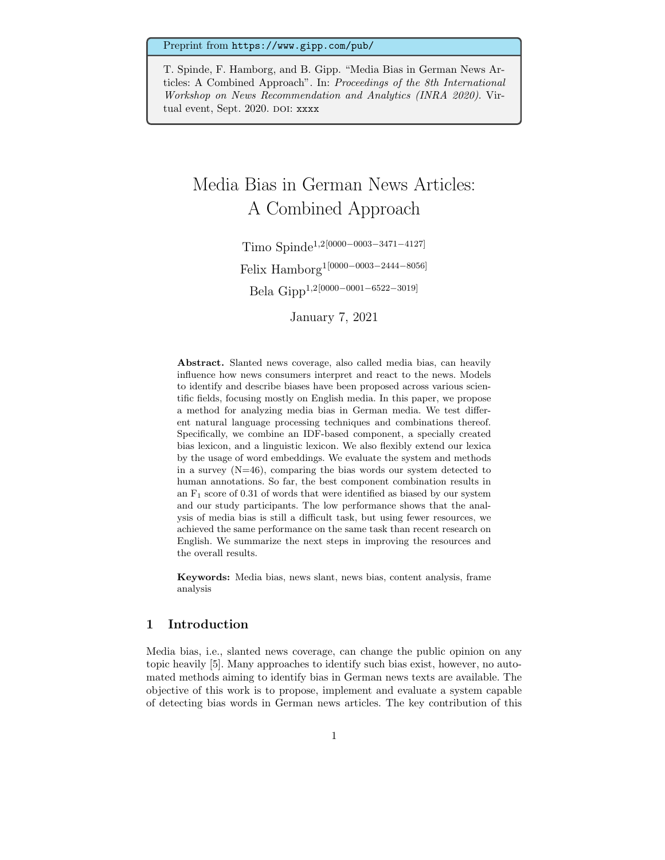Preprint from https://www.gipp.com/pub/

T. Spinde, F. Hamborg, and B. Gipp. "Media Bias in German News Articles: A Combined Approach". In: Proceedings of the 8th International Workshop on News Recommendation and Analytics (INRA 2020). Virtual event, Sept. 2020. DOI: xxxx

# Media Bias in German News Articles: A Combined Approach

Timo Spinde<sup>1</sup>,2[0000−0003−3471−4127] Felix Hamborg1[0000−0003−2444−8056] Bela Gipp<sup>1</sup>,2[0000−0001−6522−3019]

January 7, 2021

Abstract. Slanted news coverage, also called media bias, can heavily influence how news consumers interpret and react to the news. Models to identify and describe biases have been proposed across various scientific fields, focusing mostly on English media. In this paper, we propose a method for analyzing media bias in German media. We test different natural language processing techniques and combinations thereof. Specifically, we combine an IDF-based component, a specially created bias lexicon, and a linguistic lexicon. We also flexibly extend our lexica by the usage of word embeddings. We evaluate the system and methods in a survey (N=46), comparing the bias words our system detected to human annotations. So far, the best component combination results in an  $F_1$  score of 0.31 of words that were identified as biased by our system and our study participants. The low performance shows that the analysis of media bias is still a difficult task, but using fewer resources, we achieved the same performance on the same task than recent research on English. We summarize the next steps in improving the resources and the overall results.

Keywords: Media bias, news slant, news bias, content analysis, frame analysis

# 1 Introduction

Media bias, i.e., slanted news coverage, can change the public opinion on any topic heavily [5]. Many approaches to identify such bias exist, however, no automated methods aiming to identify bias in German news texts are available. The objective of this work is to propose, implement and evaluate a system capable of detecting bias words in German news articles. The key contribution of this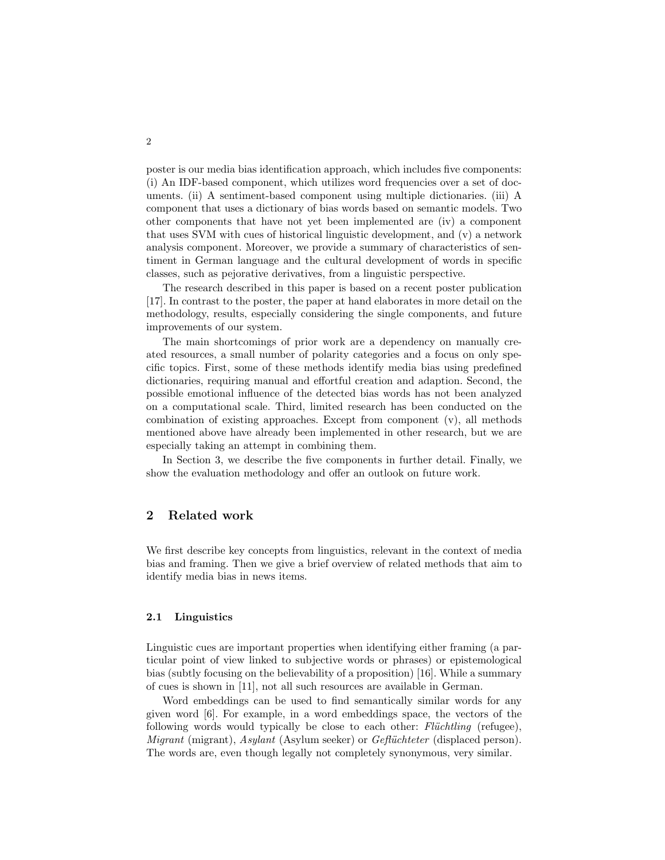poster is our media bias identification approach, which includes five components: (i) An IDF-based component, which utilizes word frequencies over a set of documents. (ii) A sentiment-based component using multiple dictionaries. (iii) A component that uses a dictionary of bias words based on semantic models. Two other components that have not yet been implemented are (iv) a component that uses SVM with cues of historical linguistic development, and (v) a network analysis component. Moreover, we provide a summary of characteristics of sentiment in German language and the cultural development of words in specific classes, such as pejorative derivatives, from a linguistic perspective.

The research described in this paper is based on a recent poster publication [17]. In contrast to the poster, the paper at hand elaborates in more detail on the methodology, results, especially considering the single components, and future improvements of our system.

The main shortcomings of prior work are a dependency on manually created resources, a small number of polarity categories and a focus on only specific topics. First, some of these methods identify media bias using predefined dictionaries, requiring manual and effortful creation and adaption. Second, the possible emotional influence of the detected bias words has not been analyzed on a computational scale. Third, limited research has been conducted on the combination of existing approaches. Except from component (v), all methods mentioned above have already been implemented in other research, but we are especially taking an attempt in combining them.

In Section 3, we describe the five components in further detail. Finally, we show the evaluation methodology and offer an outlook on future work.

# 2 Related work

We first describe key concepts from linguistics, relevant in the context of media bias and framing. Then we give a brief overview of related methods that aim to identify media bias in news items.

#### 2.1 Linguistics

Linguistic cues are important properties when identifying either framing (a particular point of view linked to subjective words or phrases) or epistemological bias (subtly focusing on the believability of a proposition) [16]. While a summary of cues is shown in [11], not all such resources are available in German.

Word embeddings can be used to find semantically similar words for any given word [6]. For example, in a word embeddings space, the vectors of the following words would typically be close to each other:  $Flichtling$  (refugee), Migrant (migrant), Asylant (Asylum seeker) or  $G$ eflüchteter (displaced person). The words are, even though legally not completely synonymous, very similar.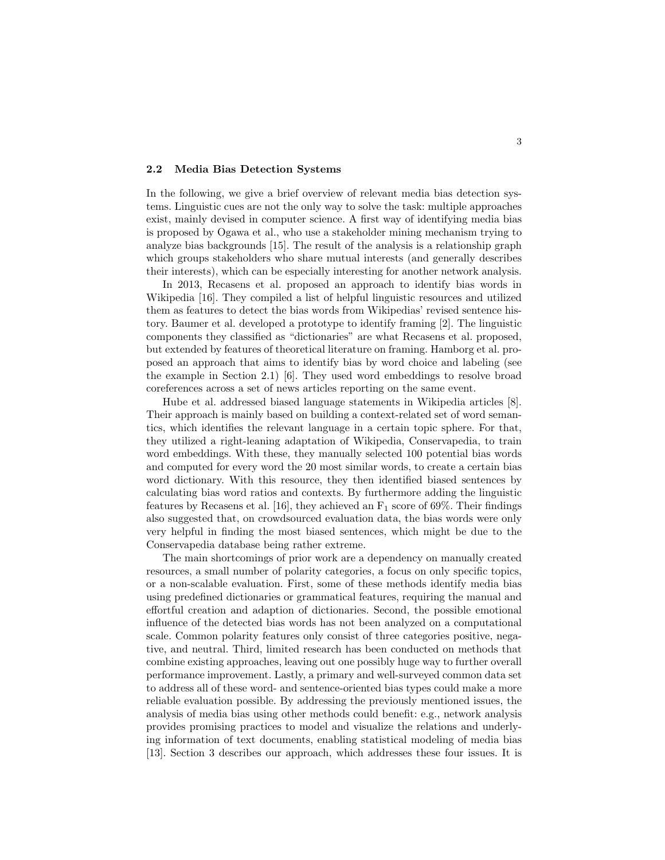#### 2.2 Media Bias Detection Systems

In the following, we give a brief overview of relevant media bias detection systems. Linguistic cues are not the only way to solve the task: multiple approaches exist, mainly devised in computer science. A first way of identifying media bias is proposed by Ogawa et al., who use a stakeholder mining mechanism trying to analyze bias backgrounds [15]. The result of the analysis is a relationship graph which groups stakeholders who share mutual interests (and generally describes their interests), which can be especially interesting for another network analysis.

In 2013, Recasens et al. proposed an approach to identify bias words in Wikipedia [16]. They compiled a list of helpful linguistic resources and utilized them as features to detect the bias words from Wikipedias' revised sentence history. Baumer et al. developed a prototype to identify framing [2]. The linguistic components they classified as "dictionaries" are what Recasens et al. proposed, but extended by features of theoretical literature on framing. Hamborg et al. proposed an approach that aims to identify bias by word choice and labeling (see the example in Section 2.1) [6]. They used word embeddings to resolve broad coreferences across a set of news articles reporting on the same event.

Hube et al. addressed biased language statements in Wikipedia articles [8]. Their approach is mainly based on building a context-related set of word semantics, which identifies the relevant language in a certain topic sphere. For that, they utilized a right-leaning adaptation of Wikipedia, Conservapedia, to train word embeddings. With these, they manually selected 100 potential bias words and computed for every word the 20 most similar words, to create a certain bias word dictionary. With this resource, they then identified biased sentences by calculating bias word ratios and contexts. By furthermore adding the linguistic features by Recasens et al. [16], they achieved an  $F_1$  score of 69%. Their findings also suggested that, on crowdsourced evaluation data, the bias words were only very helpful in finding the most biased sentences, which might be due to the Conservapedia database being rather extreme.

The main shortcomings of prior work are a dependency on manually created resources, a small number of polarity categories, a focus on only specific topics, or a non-scalable evaluation. First, some of these methods identify media bias using predefined dictionaries or grammatical features, requiring the manual and effortful creation and adaption of dictionaries. Second, the possible emotional influence of the detected bias words has not been analyzed on a computational scale. Common polarity features only consist of three categories positive, negative, and neutral. Third, limited research has been conducted on methods that combine existing approaches, leaving out one possibly huge way to further overall performance improvement. Lastly, a primary and well-surveyed common data set to address all of these word- and sentence-oriented bias types could make a more reliable evaluation possible. By addressing the previously mentioned issues, the analysis of media bias using other methods could benefit: e.g., network analysis provides promising practices to model and visualize the relations and underlying information of text documents, enabling statistical modeling of media bias [13]. Section 3 describes our approach, which addresses these four issues. It is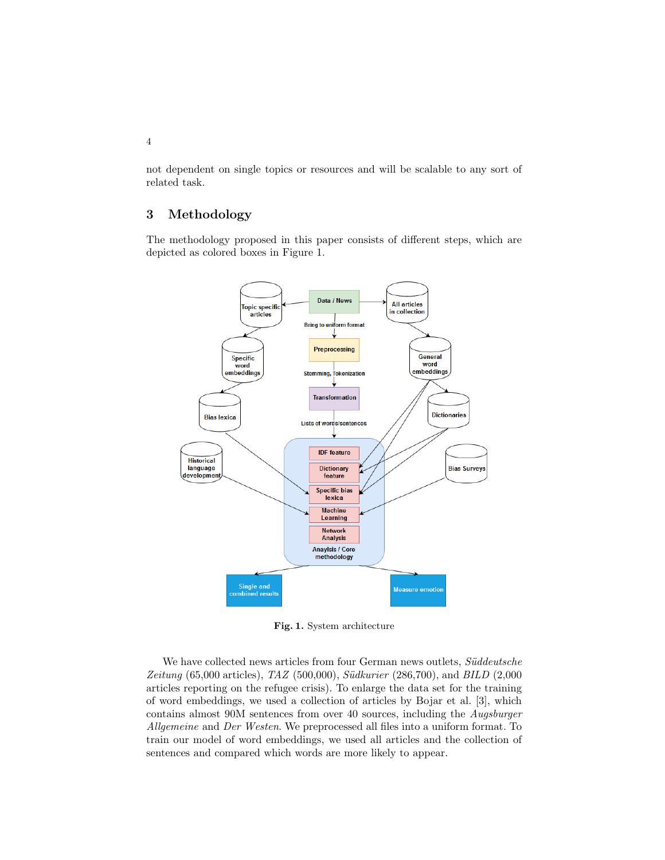not dependent on single topics or resources and will be scalable to any sort of related task.

# 3 Methodology

The methodology proposed in this paper consists of different steps, which are depicted as colored boxes in Figure 1.



Fig. 1. System architecture

We have collected news articles from four German news outlets, Süddeutsche Zeitung (65,000 articles), TAZ (500,000), Südkurier (286,700), and BILD (2,000 articles reporting on the refugee crisis). To enlarge the data set for the training of word embeddings, we used a collection of articles by Bojar et al. [3], which contains almost 90M sentences from over 40 sources, including the Augsburger Allgemeine and Der Westen. We preprocessed all files into a uniform format. To train our model of word embeddings, we used all articles and the collection of sentences and compared which words are more likely to appear.

4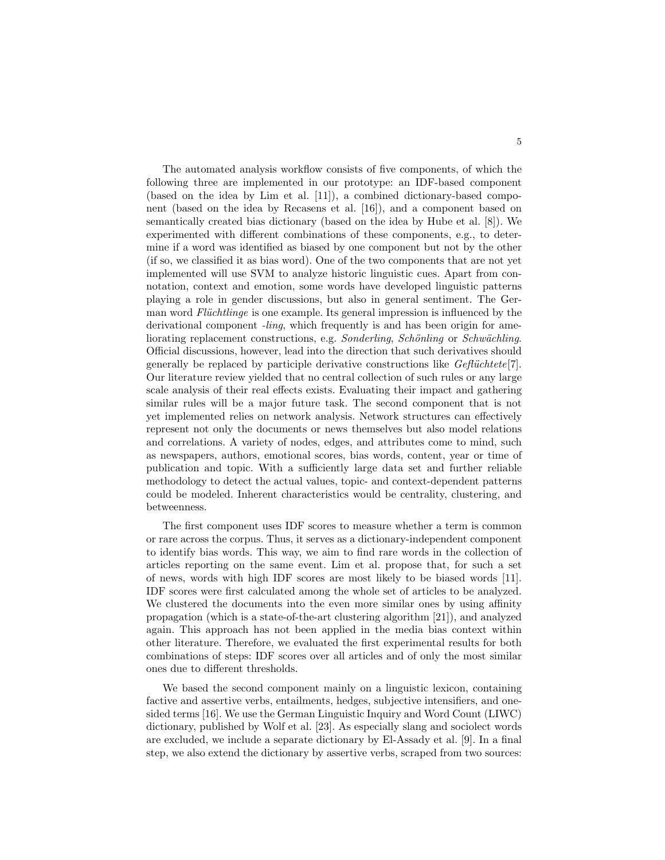The automated analysis workflow consists of five components, of which the following three are implemented in our prototype: an IDF-based component (based on the idea by Lim et al. [11]), a combined dictionary-based component (based on the idea by Recasens et al. [16]), and a component based on semantically created bias dictionary (based on the idea by Hube et al. [8]). We experimented with different combinations of these components, e.g., to determine if a word was identified as biased by one component but not by the other (if so, we classified it as bias word). One of the two components that are not yet implemented will use SVM to analyze historic linguistic cues. Apart from connotation, context and emotion, some words have developed linguistic patterns playing a role in gender discussions, but also in general sentiment. The German word Flüchtlinge is one example. Its general impression is influenced by the derivational component -ling, which frequently is and has been origin for ameliorating replacement constructions, e.g. Sonderling, Schönling or Schwächling. Official discussions, however, lead into the direction that such derivatives should generally be replaced by participle derivative constructions like  $G$ eflüchtete[7]. Our literature review yielded that no central collection of such rules or any large scale analysis of their real effects exists. Evaluating their impact and gathering similar rules will be a major future task. The second component that is not yet implemented relies on network analysis. Network structures can effectively represent not only the documents or news themselves but also model relations and correlations. A variety of nodes, edges, and attributes come to mind, such as newspapers, authors, emotional scores, bias words, content, year or time of publication and topic. With a sufficiently large data set and further reliable methodology to detect the actual values, topic- and context-dependent patterns could be modeled. Inherent characteristics would be centrality, clustering, and betweenness.

The first component uses IDF scores to measure whether a term is common or rare across the corpus. Thus, it serves as a dictionary-independent component to identify bias words. This way, we aim to find rare words in the collection of articles reporting on the same event. Lim et al. propose that, for such a set of news, words with high IDF scores are most likely to be biased words [11]. IDF scores were first calculated among the whole set of articles to be analyzed. We clustered the documents into the even more similar ones by using affinity propagation (which is a state-of-the-art clustering algorithm [21]), and analyzed again. This approach has not been applied in the media bias context within other literature. Therefore, we evaluated the first experimental results for both combinations of steps: IDF scores over all articles and of only the most similar ones due to different thresholds.

We based the second component mainly on a linguistic lexicon, containing factive and assertive verbs, entailments, hedges, subjective intensifiers, and onesided terms [16]. We use the German Linguistic Inquiry and Word Count (LIWC) dictionary, published by Wolf et al. [23]. As especially slang and sociolect words are excluded, we include a separate dictionary by El-Assady et al. [9]. In a final step, we also extend the dictionary by assertive verbs, scraped from two sources: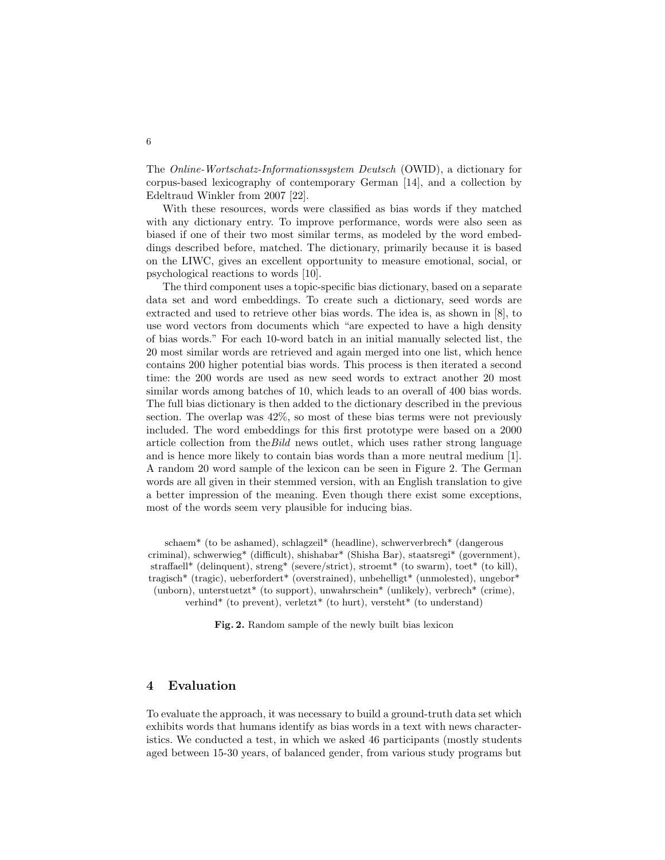The Online-Wortschatz-Informationssystem Deutsch (OWID), a dictionary for corpus-based lexicography of contemporary German [14], and a collection by Edeltraud Winkler from 2007 [22].

With these resources, words were classified as bias words if they matched with any dictionary entry. To improve performance, words were also seen as biased if one of their two most similar terms, as modeled by the word embeddings described before, matched. The dictionary, primarily because it is based on the LIWC, gives an excellent opportunity to measure emotional, social, or psychological reactions to words [10].

The third component uses a topic-specific bias dictionary, based on a separate data set and word embeddings. To create such a dictionary, seed words are extracted and used to retrieve other bias words. The idea is, as shown in [8], to use word vectors from documents which "are expected to have a high density of bias words." For each 10-word batch in an initial manually selected list, the 20 most similar words are retrieved and again merged into one list, which hence contains 200 higher potential bias words. This process is then iterated a second time: the 200 words are used as new seed words to extract another 20 most similar words among batches of 10, which leads to an overall of 400 bias words. The full bias dictionary is then added to the dictionary described in the previous section. The overlap was  $42\%$ , so most of these bias terms were not previously included. The word embeddings for this first prototype were based on a 2000 article collection from the Bild news outlet, which uses rather strong language and is hence more likely to contain bias words than a more neutral medium [1]. A random 20 word sample of the lexicon can be seen in Figure 2. The German words are all given in their stemmed version, with an English translation to give a better impression of the meaning. Even though there exist some exceptions, most of the words seem very plausible for inducing bias.

schaem\* (to be ashamed), schlagzeil\* (headline), schwerverbrech\* (dangerous criminal), schwerwieg\* (difficult), shishabar\* (Shisha Bar), staatsregi\* (government), straffaell\* (delinquent), streng\* (severe/strict), stroemt\* (to swarm), toet\* (to kill), tragisch\* (tragic), ueberfordert\* (overstrained), unbehelligt\* (unmolested), ungebor\* (unborn), unterstuetzt\* (to support), unwahrschein\* (unlikely), verbrech\* (crime), verhind\* (to prevent), verletzt\* (to hurt), versteht\* (to understand)

Fig. 2. Random sample of the newly built bias lexicon

# 4 Evaluation

To evaluate the approach, it was necessary to build a ground-truth data set which exhibits words that humans identify as bias words in a text with news characteristics. We conducted a test, in which we asked 46 participants (mostly students aged between 15-30 years, of balanced gender, from various study programs but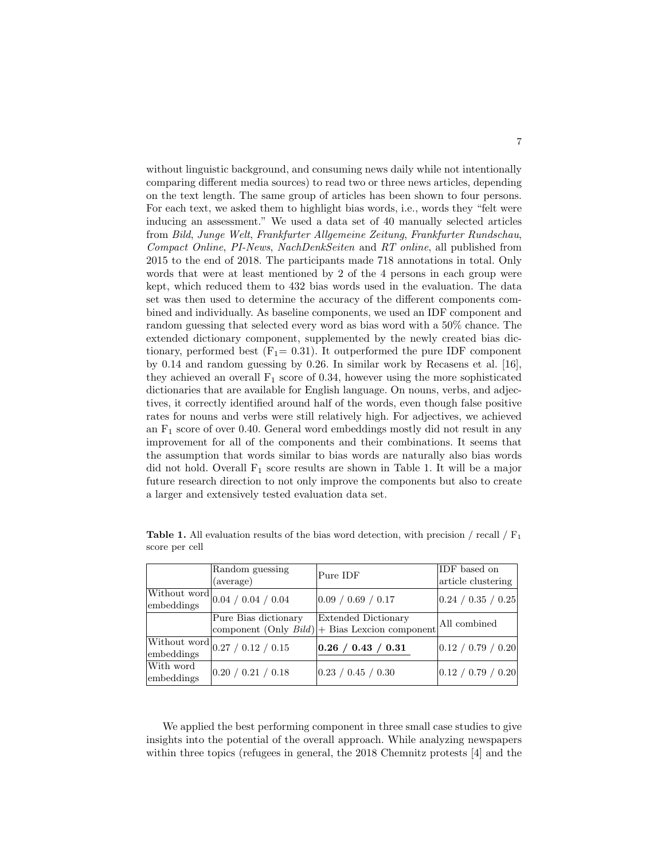without linguistic background, and consuming news daily while not intentionally comparing different media sources) to read two or three news articles, depending on the text length. The same group of articles has been shown to four persons. For each text, we asked them to highlight bias words, i.e., words they "felt were inducing an assessment." We used a data set of 40 manually selected articles from Bild, Junge Welt, Frankfurter Allgemeine Zeitung, Frankfurter Rundschau, Compact Online, PI-News, NachDenkSeiten and RT online, all published from 2015 to the end of 2018. The participants made 718 annotations in total. Only words that were at least mentioned by 2 of the 4 persons in each group were kept, which reduced them to 432 bias words used in the evaluation. The data set was then used to determine the accuracy of the different components combined and individually. As baseline components, we used an IDF component and random guessing that selected every word as bias word with a 50% chance. The extended dictionary component, supplemented by the newly created bias dictionary, performed best  $(F_1= 0.31)$ . It outperformed the pure IDF component by 0.14 and random guessing by 0.26. In similar work by Recasens et al. [16], they achieved an overall  $F_1$  score of 0.34, however using the more sophisticated dictionaries that are available for English language. On nouns, verbs, and adjectives, it correctly identified around half of the words, even though false positive rates for nouns and verbs were still relatively high. For adjectives, we achieved an  $F_1$  score of over 0.40. General word embeddings mostly did not result in any improvement for all of the components and their combinations. It seems that the assumption that words similar to bias words are naturally also bias words did not hold. Overall  $F_1$  score results are shown in Table 1. It will be a major future research direction to not only improve the components but also to create a larger and extensively tested evaluation data set.

|                         | Random guessing<br>(average)                         | Pure IDF                                                                        | IDF based on<br>article clustering        |
|-------------------------|------------------------------------------------------|---------------------------------------------------------------------------------|-------------------------------------------|
| embeddings              | $ \overline{\text{Without word}} 0.04$ / 0.04 / 0.04 | 0.09 / 0.69 / 0.17                                                              | 0.24  / 0.35  / 0.25                      |
|                         | Pure Bias dictionary                                 | <b>Extended Dictionary</b><br>component (Only $Bild$ ) + Bias Lexcion component | All combined                              |
| embeddings              | $ \overline{\text{Without word}} 0.27$ / 0.12 / 0.15 | 0.26 / 0.43 / 0.31                                                              | 0.12 / 0.79 / 0.20                        |
| With word<br>embeddings | 0.20 / 0.21 / 0.18                                   | 0.23 / 0.45 / 0.30                                                              | $\left 0.12\; / \;0.79\; / \;0.20\right $ |

**Table 1.** All evaluation results of the bias word detection, with precision / recall /  $F_1$ score per cell

We applied the best performing component in three small case studies to give insights into the potential of the overall approach. While analyzing newspapers within three topics (refugees in general, the 2018 Chemnitz protests [4] and the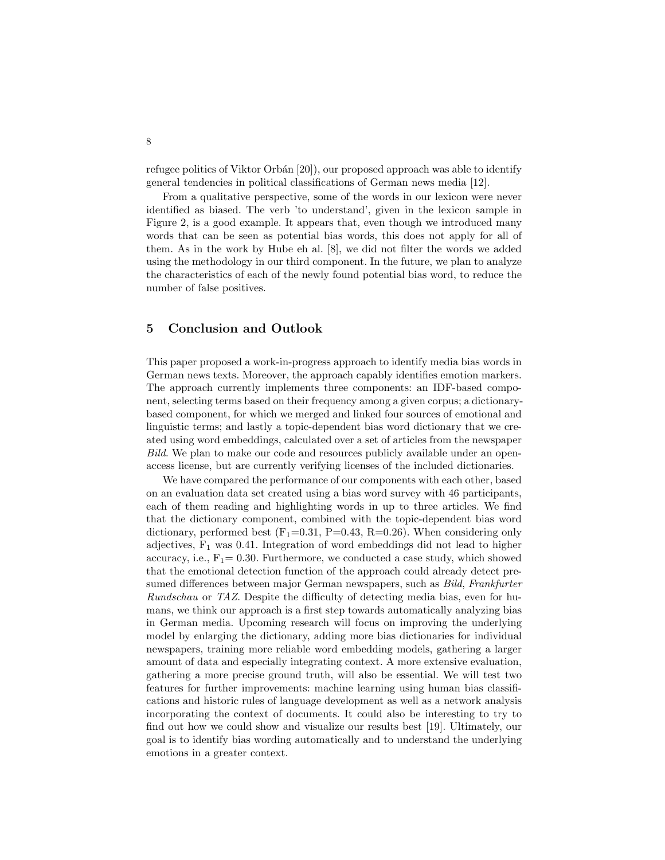refugee politics of Viktor Orbán [20]), our proposed approach was able to identify general tendencies in political classifications of German news media [12].

From a qualitative perspective, some of the words in our lexicon were never identified as biased. The verb 'to understand', given in the lexicon sample in Figure 2, is a good example. It appears that, even though we introduced many words that can be seen as potential bias words, this does not apply for all of them. As in the work by Hube eh al. [8], we did not filter the words we added using the methodology in our third component. In the future, we plan to analyze the characteristics of each of the newly found potential bias word, to reduce the number of false positives.

## 5 Conclusion and Outlook

This paper proposed a work-in-progress approach to identify media bias words in German news texts. Moreover, the approach capably identifies emotion markers. The approach currently implements three components: an IDF-based component, selecting terms based on their frequency among a given corpus; a dictionarybased component, for which we merged and linked four sources of emotional and linguistic terms; and lastly a topic-dependent bias word dictionary that we created using word embeddings, calculated over a set of articles from the newspaper Bild. We plan to make our code and resources publicly available under an openaccess license, but are currently verifying licenses of the included dictionaries.

We have compared the performance of our components with each other, based on an evaluation data set created using a bias word survey with 46 participants, each of them reading and highlighting words in up to three articles. We find that the dictionary component, combined with the topic-dependent bias word dictionary, performed best  $(F_1=0.31, P=0.43, R=0.26)$ . When considering only adjectives,  $F_1$  was 0.41. Integration of word embeddings did not lead to higher accuracy, i.e.,  $F_1 = 0.30$ . Furthermore, we conducted a case study, which showed that the emotional detection function of the approach could already detect presumed differences between major German newspapers, such as Bild, Frankfurter Rundschau or TAZ. Despite the difficulty of detecting media bias, even for humans, we think our approach is a first step towards automatically analyzing bias in German media. Upcoming research will focus on improving the underlying model by enlarging the dictionary, adding more bias dictionaries for individual newspapers, training more reliable word embedding models, gathering a larger amount of data and especially integrating context. A more extensive evaluation, gathering a more precise ground truth, will also be essential. We will test two features for further improvements: machine learning using human bias classifications and historic rules of language development as well as a network analysis incorporating the context of documents. It could also be interesting to try to find out how we could show and visualize our results best [19]. Ultimately, our goal is to identify bias wording automatically and to understand the underlying emotions in a greater context.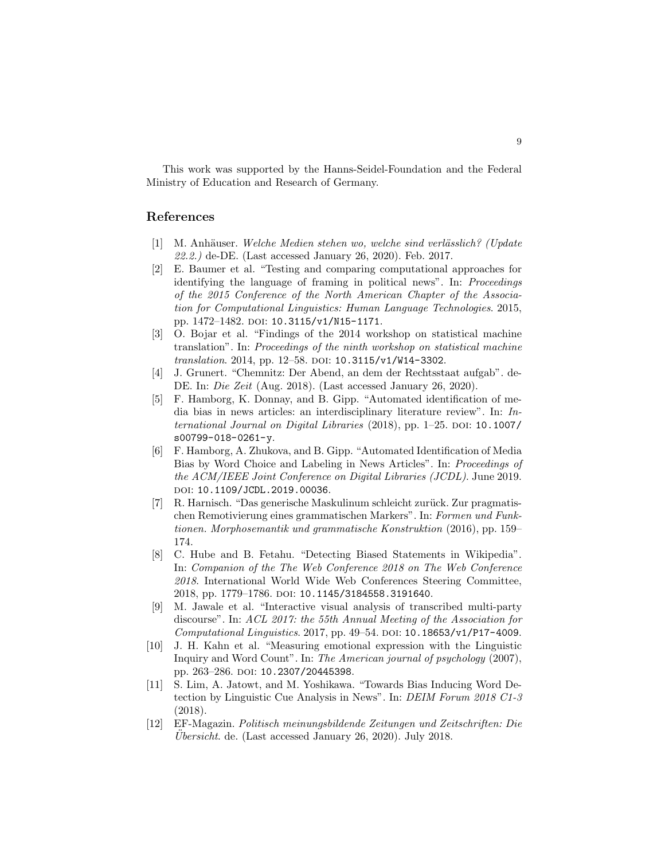This work was supported by the Hanns-Seidel-Foundation and the Federal Ministry of Education and Research of Germany.

### References

- [1] M. Anhäuser. Welche Medien stehen wo, welche sind verlässlich? (Update 22.2.) de-DE. (Last accessed January 26, 2020). Feb. 2017.
- [2] E. Baumer et al. "Testing and comparing computational approaches for identifying the language of framing in political news". In: Proceedings of the 2015 Conference of the North American Chapter of the Association for Computational Linguistics: Human Language Technologies. 2015, pp. 1472-1482. DOI: 10.3115/v1/N15-1171.
- [3] O. Bojar et al. "Findings of the 2014 workshop on statistical machine translation". In: Proceedings of the ninth workshop on statistical machine translation. 2014, pp. 12-58. DOI: 10.3115/v1/W14-3302.
- [4] J. Grunert. "Chemnitz: Der Abend, an dem der Rechtsstaat aufgab". de-DE. In: Die Zeit (Aug. 2018). (Last accessed January 26, 2020).
- [5] F. Hamborg, K. Donnay, and B. Gipp. "Automated identification of media bias in news articles: an interdisciplinary literature review". In: International Journal on Digital Libraries  $(2018)$ , pp. 1–25. DOI: 10.1007/ s00799-018-0261-y.
- [6] F. Hamborg, A. Zhukova, and B. Gipp. "Automated Identification of Media Bias by Word Choice and Labeling in News Articles". In: Proceedings of the ACM/IEEE Joint Conference on Digital Libraries (JCDL). June 2019. doi: 10.1109/JCDL.2019.00036.
- [7] R. Harnisch. "Das generische Maskulinum schleicht zurück. Zur pragmatischen Remotivierung eines grammatischen Markers". In: Formen und Funktionen. Morphosemantik und grammatische Konstruktion (2016), pp. 159– 174.
- [8] C. Hube and B. Fetahu. "Detecting Biased Statements in Wikipedia". In: Companion of the The Web Conference 2018 on The Web Conference 2018. International World Wide Web Conferences Steering Committee, 2018, pp. 1779-1786. DOI: 10.1145/3184558.3191640.
- [9] M. Jawale et al. "Interactive visual analysis of transcribed multi-party discourse". In: ACL 2017: the 55th Annual Meeting of the Association for Computational Linguistics. 2017, pp. 49-54. DOI: 10.18653/v1/P17-4009.
- [10] J. H. Kahn et al. "Measuring emotional expression with the Linguistic Inquiry and Word Count". In: The American journal of psychology (2007), pp. 263-286. doi: 10.2307/20445398.
- [11] S. Lim, A. Jatowt, and M. Yoshikawa. "Towards Bias Inducing Word Detection by Linguistic Cue Analysis in News". In: DEIM Forum 2018 C1-3 (2018).
- [12] EF-Magazin. Politisch meinungsbildende Zeitungen und Zeitschriften: Die Ubersicht. de. (Last accessed January 26, 2020). July 2018.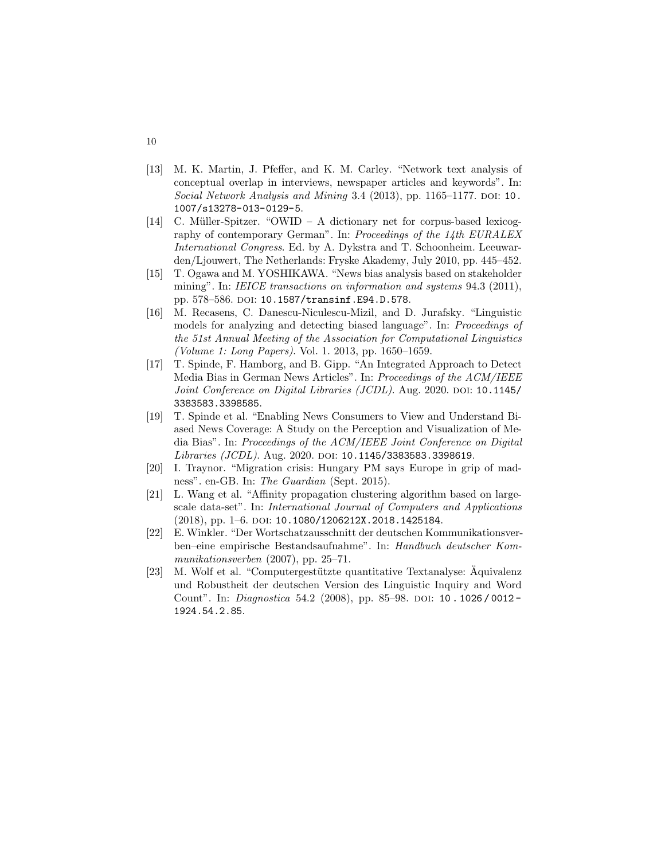- [13] M. K. Martin, J. Pfeffer, and K. M. Carley. "Network text analysis of conceptual overlap in interviews, newspaper articles and keywords". In: Social Network Analysis and Mining 3.4 (2013), pp. 1165-1177. DOI: 10. 1007/s13278-013-0129-5.
- [14] C. Müller-Spitzer. "OWID A dictionary net for corpus-based lexicography of contemporary German". In: Proceedings of the 14th EURALEX International Congress. Ed. by A. Dykstra and T. Schoonheim. Leeuwarden/Ljouwert, The Netherlands: Fryske Akademy, July 2010, pp. 445–452.
- [15] T. Ogawa and M. YOSHIKAWA. "News bias analysis based on stakeholder mining". In: IEICE transactions on information and systems 94.3 (2011), pp. 578-586. DOI: 10.1587/transinf.E94.D.578.
- [16] M. Recasens, C. Danescu-Niculescu-Mizil, and D. Jurafsky. "Linguistic models for analyzing and detecting biased language". In: Proceedings of the 51st Annual Meeting of the Association for Computational Linguistics (Volume 1: Long Papers). Vol. 1. 2013, pp. 1650–1659.
- [17] T. Spinde, F. Hamborg, and B. Gipp. "An Integrated Approach to Detect Media Bias in German News Articles". In: Proceedings of the ACM/IEEE Joint Conference on Digital Libraries (JCDL). Aug. 2020. DOI: 10.1145/ 3383583.3398585.
- [19] T. Spinde et al. "Enabling News Consumers to View and Understand Biased News Coverage: A Study on the Perception and Visualization of Media Bias". In: Proceedings of the ACM/IEEE Joint Conference on Digital Libraries (JCDL). Aug. 2020. DOI: 10.1145/3383583.3398619.
- [20] I. Traynor. "Migration crisis: Hungary PM says Europe in grip of madness". en-GB. In: The Guardian (Sept. 2015).
- [21] L. Wang et al. "Affinity propagation clustering algorithm based on largescale data-set". In: International Journal of Computers and Applications (2018), pp. 1-6. DOI: 10.1080/1206212X.2018.1425184.
- [22] E. Winkler. "Der Wortschatzausschnitt der deutschen Kommunikationsverben–eine empirische Bestandsaufnahme". In: Handbuch deutscher Kommunikationsverben (2007), pp. 25–71.
- [23] M. Wolf et al. "Computergestützte quantitative Textanalyse: Aquivalenz und Robustheit der deutschen Version des Linguistic Inquiry and Word Count". In: *Diagnostica* 54.2 (2008), pp. 85–98. DOI: 10 . 1026 / 0012 -1924.54.2.85.

10